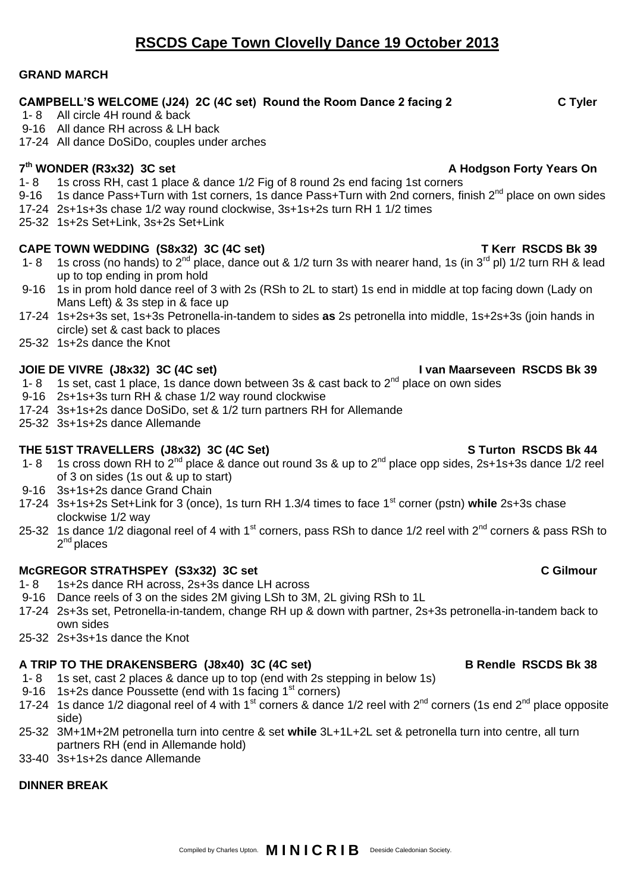# **RSCDS Cape Town Clovelly Dance 19 October 2013**

### **GRAND MARCH**

### **CAMPBELL'S WELCOME (J24) 2C (4C set) Round the Room Dance 2 facing 2 C Tyler**

- 1- 8 All circle 4H round & back
- 9-16 All dance RH across & LH back
- 17-24 All dance DoSiDo, couples under arches

### **7 th WONDER (R3x32) 3C set A Hodgson Forty Years On**

- 1- 8 1s cross RH, cast 1 place & dance 1/2 Fig of 8 round 2s end facing 1st corners<br>9-16 1s dance Pass+Turn with 1st corners. 1s dance Pass+Turn with 2nd corners fire
- 1s dance Pass+Turn with 1st corners, 1s dance Pass+Turn with 2nd corners, finish 2<sup>nd</sup> place on own sides
- 17-24 2s+1s+3s chase 1/2 way round clockwise, 3s+1s+2s turn RH 1 1/2 times
- 25-32 1s+2s Set+Link, 3s+2s Set+Link

### **CAPE TOWN WEDDING (S8x32) 3C (4C set) T Kerr RSCDS Bk 39**

- 1- 8 1s cross (no hands) to 2<sup>nd</sup> place, dance out & 1/2 turn 3s with nearer hand, 1s (in 3<sup>rd</sup> pl) 1/2 turn RH & lead up to top ending in prom hold
- 9-16 1s in prom hold dance reel of 3 with 2s (RSh to 2L to start) 1s end in middle at top facing down (Lady on Mans Left) & 3s step in & face up
- 17-24 1s+2s+3s set, 1s+3s Petronella-in-tandem to sides **as** 2s petronella into middle, 1s+2s+3s (join hands in circle) set & cast back to places
- 25-32 1s+2s dance the Knot

### **JOIE DE VIVRE (J8x32) 3C (4C set) I van Maarseveen RSCDS Bk 39**

- 1- 8 1s set, cast 1 place, 1s dance down between 3s & cast back to  $2^{nd}$  place on own sides
- 9-16 2s+1s+3s turn RH & chase 1/2 way round clockwise
- 17-24 3s+1s+2s dance DoSiDo, set & 1/2 turn partners RH for Allemande
- 25-32 3s+1s+2s dance Allemande

### THE 51ST TRAVELLERS (J8x32) 3C (4C Set) STURE 31ST UNITED STATION RSCDS Bk 44

- 1- 8 1s cross down RH to 2nd place & dance out round 3s & up to 2nd place opp sides, 2s+1s+3s dance 1/2 reel of 3 on sides (1s out & up to start)
- 9-16 3s+1s+2s dance Grand Chain
- 17-24 3s+1s+2s Set+Link for 3 (once), 1s turn RH 1.3/4 times to face 1st corner (pstn) **while** 2s+3s chase clockwise 1/2 way
- 25-32 1s dance 1/2 diagonal reel of 4 with 1<sup>st</sup> corners, pass RSh to dance 1/2 reel with 2<sup>nd</sup> corners & pass RSh to 2<sup>nd</sup> places

### **McGREGOR STRATHSPEY (S3x32) 3C set C Gilmour**

- 1- 8 1s+2s dance RH across, 2s+3s dance LH across
- 9-16 Dance reels of 3 on the sides 2M giving LSh to 3M, 2L giving RSh to 1L
- 17-24 2s+3s set, Petronella-in-tandem, change RH up & down with partner, 2s+3s petronella-in-tandem back to own sides
- 25-32 2s+3s+1s dance the Knot

# A TRIP TO THE DRAKENSBERG (J8x40) 3C (4C set) B Rendle RSCDS Bk 38

- 1- 8 1s set, cast 2 places & dance up to top (end with 2s stepping in below 1s)
- 9-16 1s+2s dance Poussette (end with 1s facing 1<sup>st</sup> corners)
- 17-24 1s dance 1/2 diagonal reel of 4 with 1<sup>st</sup> corners & dance 1/2 reel with 2<sup>nd</sup> corners (1s end 2<sup>nd</sup> place opposite side)
- 25-32 3M+1M+2M petronella turn into centre & set **while** 3L+1L+2L set & petronella turn into centre, all turn partners RH (end in Allemande hold)
- 33-40 3s+1s+2s dance Allemande

# **DINNER BREAK**